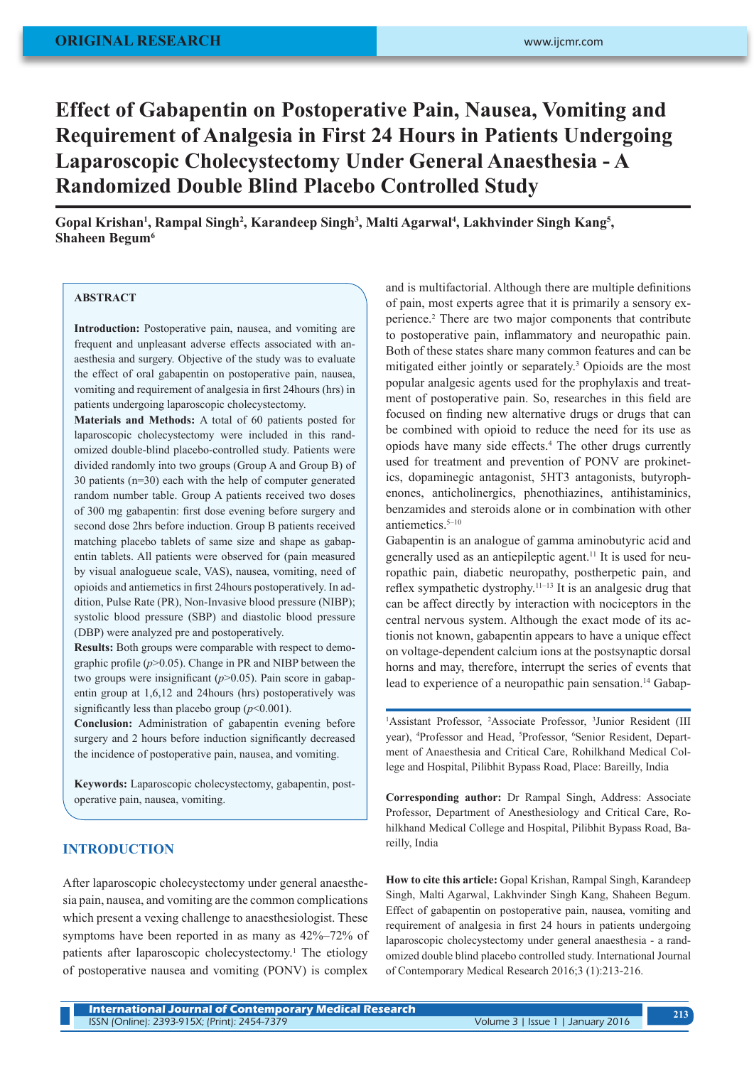# **Effect of Gabapentin on Postoperative Pain, Nausea, Vomiting and Requirement of Analgesia in First 24 Hours in Patients Undergoing Laparoscopic Cholecystectomy Under General Anaesthesia - A Randomized Double Blind Placebo Controlled Study**

Gopal Krishan<sup>1</sup>, Rampal Singh<sup>2</sup>, Karandeep Singh<sup>3</sup>, Malti Agarwal<sup>4</sup>, Lakhvinder Singh Kang<sup>5</sup>, **Shaheen Begum6**

#### **ABSTRACT**

**Introduction:** Postoperative pain, nausea, and vomiting are frequent and unpleasant adverse effects associated with anaesthesia and surgery. Objective of the study was to evaluate the effect of oral gabapentin on postoperative pain, nausea, vomiting and requirement of analgesia in first 24hours (hrs) in patients undergoing laparoscopic cholecystectomy.

**Materials and Methods:** A total of 60 patients posted for laparoscopic cholecystectomy were included in this randomized double-blind placebo-controlled study. Patients were divided randomly into two groups (Group A and Group B) of 30 patients (n=30) each with the help of computer generated random number table. Group A patients received two doses of 300 mg gabapentin: first dose evening before surgery and second dose 2hrs before induction. Group B patients received matching placebo tablets of same size and shape as gabapentin tablets. All patients were observed for (pain measured by visual analogueue scale, VAS), nausea, vomiting, need of opioids and antiemetics in first 24hours postoperatively. In addition, Pulse Rate (PR), Non-Invasive blood pressure (NIBP); systolic blood pressure (SBP) and diastolic blood pressure (DBP) were analyzed pre and postoperatively.

**Results:** Both groups were comparable with respect to demographic profile (*p*>0.05). Change in PR and NIBP between the two groups were insignificant ( $p>0.05$ ). Pain score in gabapentin group at 1,6,12 and 24hours (hrs) postoperatively was significantly less than placebo group  $(p<0.001)$ .

**Conclusion:** Administration of gabapentin evening before surgery and 2 hours before induction significantly decreased the incidence of postoperative pain, nausea, and vomiting.

**Keywords:** Laparoscopic cholecystectomy, gabapentin, postoperative pain, nausea, vomiting.

## **INTRODUCTION**

After laparoscopic cholecystectomy under general anaesthesia pain, nausea, and vomiting are the common complications which present a vexing challenge to anaesthesiologist. These symptoms have been reported in as many as 42%–72% of patients after laparoscopic cholecystectomy.<sup>1</sup> The etiology of postoperative nausea and vomiting (PONV) is complex

and is multifactorial. Although there are multiple definitions of pain, most experts agree that it is primarily a sensory experience.<sup>2</sup> There are two major components that contribute to postoperative pain, inflammatory and neuropathic pain. Both of these states share many common features and can be mitigated either jointly or separately.3 Opioids are the most popular analgesic agents used for the prophylaxis and treatment of postoperative pain. So, researches in this field are focused on finding new alternative drugs or drugs that can be combined with opioid to reduce the need for its use as opiods have many side effects.<sup>4</sup> The other drugs currently used for treatment and prevention of PONV are prokinetics, dopaminegic antagonist, 5HT3 antagonists, butyrophenones, anticholinergics, phenothiazines, antihistaminics, benzamides and steroids alone or in combination with other antiemetics.5–10

Gabapentin is an analogue of gamma aminobutyric acid and generally used as an antiepileptic agent.11 It is used for neuropathic pain, diabetic neuropathy, postherpetic pain, and reflex sympathetic dystrophy.11–13 It is an analgesic drug that can be affect directly by interaction with nociceptors in the central nervous system. Although the exact mode of its actionis not known, gabapentin appears to have a unique effect on voltage-dependent calcium ions at the postsynaptic dorsal horns and may, therefore, interrupt the series of events that lead to experience of a neuropathic pain sensation.<sup>14</sup> Gabap-

<sup>1</sup>Assistant Professor, <sup>2</sup>Associate Professor, <sup>3</sup>Junior Resident (III year), <sup>4</sup>Professor and Head, <sup>5</sup>Professor, <sup>6</sup>Senior Resident, Department of Anaesthesia and Critical Care, Rohilkhand Medical College and Hospital, Pilibhit Bypass Road, Place: Bareilly, India

**Corresponding author:** Dr Rampal Singh, Address: Associate Professor, Department of Anesthesiology and Critical Care, Rohilkhand Medical College and Hospital, Pilibhit Bypass Road, Bareilly, India

**How to cite this article:** Gopal Krishan, Rampal Singh, Karandeep Singh, Malti Agarwal, Lakhvinder Singh Kang, Shaheen Begum. Effect of gabapentin on postoperative pain, nausea, vomiting and requirement of analgesia in first 24 hours in patients undergoing laparoscopic cholecystectomy under general anaesthesia - a randomized double blind placebo controlled study. International Journal of Contemporary Medical Research 2016;3 (1):213-216.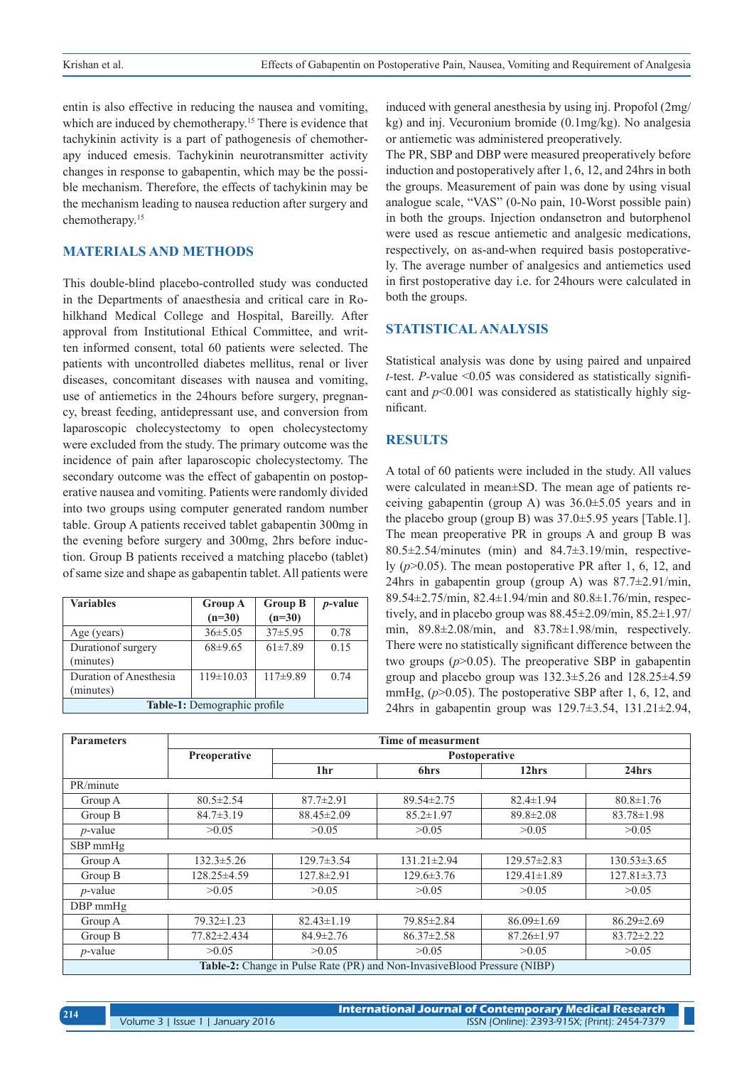entin is also effective in reducing the nausea and vomiting, which are induced by chemotherapy.<sup>15</sup> There is evidence that tachykinin activity is a part of pathogenesis of chemotherapy induced emesis. Tachykinin neurotransmitter activity changes in response to gabapentin, which may be the possible mechanism. Therefore, the effects of tachykinin may be the mechanism leading to nausea reduction after surgery and chemotherapy.15

# **MATERIALS AND METHODS**

This double-blind placebo-controlled study was conducted in the Departments of anaesthesia and critical care in Rohilkhand Medical College and Hospital, Bareilly. After approval from Institutional Ethical Committee, and written informed consent, total 60 patients were selected. The patients with uncontrolled diabetes mellitus, renal or liver diseases, concomitant diseases with nausea and vomiting, use of antiemetics in the 24hours before surgery, pregnancy, breast feeding, antidepressant use, and conversion from laparoscopic cholecystectomy to open cholecystectomy were excluded from the study. The primary outcome was the incidence of pain after laparoscopic cholecystectomy. The secondary outcome was the effect of gabapentin on postoperative nausea and vomiting. Patients were randomly divided into two groups using computer generated random number table. Group A patients received tablet gabapentin 300mg in the evening before surgery and 300mg, 2hrs before induction. Group B patients received a matching placebo (tablet) of same size and shape as gabapentin tablet. All patients were

| <b>Variables</b>                    | <b>Group A</b><br>$(n=30)$ | <b>Group B</b><br>$(n=30)$ | <i>p</i> -value |
|-------------------------------------|----------------------------|----------------------------|-----------------|
| Age (years)                         | $36\pm5.05$                | $37\pm5.95$                | 0.78            |
| Duration of surgery<br>(minutes)    | $68\pm9.65$                | $61\pm7.89$                | 0.15            |
| Duration of Anesthesia<br>(minutes) | $119\pm10.03$              | $117\pm9.89$               | 0.74            |
| <b>Table-1:</b> Demographic profile |                            |                            |                 |

induced with general anesthesia by using inj. Propofol (2mg/ kg) and inj. Vecuronium bromide (0.1mg/kg). No analgesia or antiemetic was administered preoperatively.

The PR, SBP and DBP were measured preoperatively before induction and postoperatively after 1, 6, 12, and 24hrs in both the groups. Measurement of pain was done by using visual analogue scale, "VAS" (0-No pain, 10-Worst possible pain) in both the groups. Injection ondansetron and butorphenol were used as rescue antiemetic and analgesic medications, respectively, on as-and-when required basis postoperatively. The average number of analgesics and antiemetics used in first postoperative day i.e. for 24hours were calculated in both the groups.

# **STATISTICAL ANALYSIS**

Statistical analysis was done by using paired and unpaired *t-*test. *P-*value <0.05 was considered as statistically significant and  $p<0.001$  was considered as statistically highly significant.

#### **RESULTS**

A total of 60 patients were included in the study. All values were calculated in mean±SD. The mean age of patients receiving gabapentin (group A) was 36.0±5.05 years and in the placebo group (group B) was 37.0±5.95 years [Table.1]. The mean preoperative PR in groups A and group B was  $80.5\pm2.54/minutes$  (min) and  $84.7\pm3.19/min$ , respectively (*p*>0.05). The mean postoperative PR after 1, 6, 12, and 24hrs in gabapentin group (group A) was  $87.7\pm2.91/\text{min}$ , 89.54±2.75/min, 82.4±1.94/min and 80.8±1.76/min, respectively, and in placebo group was 88.45±2.09/min, 85.2±1.97/ min, 89.8±2.08/min, and 83.78±1.98/min, respectively. There were no statistically significant difference between the two groups (*p*>0.05). The preoperative SBP in gabapentin group and placebo group was  $132.3 \pm 5.26$  and  $128.25 \pm 4.59$ mmHg,  $(p>0.05)$ . The postoperative SBP after 1, 6, 12, and 24hrs in gabapentin group was 129.7±3.54, 131.21±2.94,

| <b>Parameters</b>                                                                | Time of measurment |                  |                   |                   |                   |
|----------------------------------------------------------------------------------|--------------------|------------------|-------------------|-------------------|-------------------|
|                                                                                  | Preoperative       | Postoperative    |                   |                   |                   |
|                                                                                  |                    | 1 <sub>hr</sub>  | <b>6hrs</b>       | 12hrs             | 24hrs             |
| PR/minute                                                                        |                    |                  |                   |                   |                   |
| Group A                                                                          | $80.5 \pm 2.54$    | $87.7 \pm 2.91$  | $89.54 \pm 2.75$  | $82.4 \pm 1.94$   | $80.8 \pm 1.76$   |
| Group B                                                                          | $84.7 \pm 3.19$    | 88.45±2.09       | $85.2 \pm 1.97$   | $89.8 \pm 2.08$   | $83.78 \pm 1.98$  |
| $p$ -value                                                                       | >0.05              | >0.05            | >0.05             | >0.05             | >0.05             |
| $SBP$ mm $Hg$                                                                    |                    |                  |                   |                   |                   |
| Group A                                                                          | $132.3 \pm 5.26$   | $129.7 \pm 3.54$ | $131.21 \pm 2.94$ | $129.57 \pm 2.83$ | $130.53 \pm 3.65$ |
| Group B                                                                          | 128.25±4.59        | $127.8 \pm 2.91$ | $129.6 \pm 3.76$  | $129.41 \pm 1.89$ | $127.81 \pm 3.73$ |
| $p$ -value                                                                       | >0.05              | >0.05            | >0.05             | >0.05             | >0.05             |
| $DBP$ mmHg                                                                       |                    |                  |                   |                   |                   |
| Group A                                                                          | $79.32 \pm 1.23$   | $82.43 \pm 1.19$ | 79.85 ± 2.84      | $86.09 \pm 1.69$  | $86.29 \pm 2.69$  |
| Group B                                                                          | 77.82±2.434        | $84.9 \pm 2.76$  | $86.37 \pm 2.58$  | $87.26 \pm 1.97$  | $83.72 \pm 2.22$  |
| $p$ -value                                                                       | >0.05              | >0.05            | >0.05             | >0.05             | >0.05             |
| <b>Table-2:</b> Change in Pulse Rate (PR) and Non-Invasive Blood Pressure (NIBP) |                    |                  |                   |                   |                   |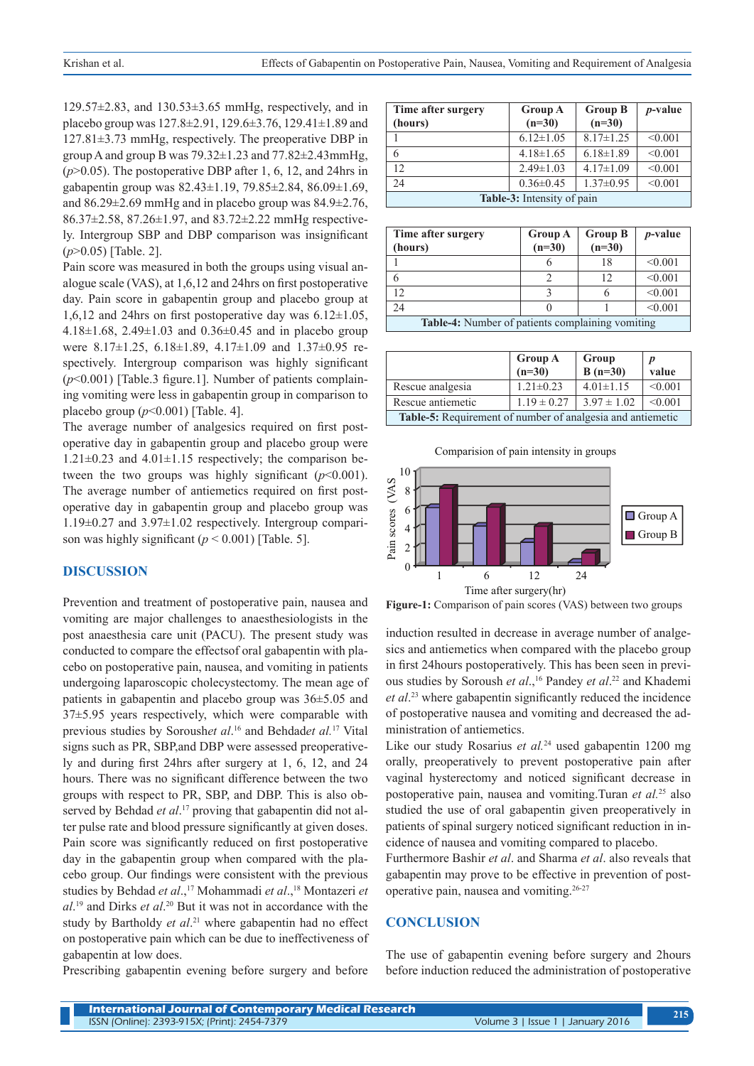$129.57\pm2.83$ , and  $130.53\pm3.65$  mmHg, respectively, and in placebo group was 127.8±2.91, 129.6±3.76, 129.41±1.89 and 127.81±3.73 mmHg, respectively. The preoperative DBP in group A and group B was  $79.32 \pm 1.23$  and  $77.82 \pm 2.43$ mmHg, (*p*>0.05). The postoperative DBP after 1, 6, 12, and 24hrs in gabapentin group was 82.43±1.19, 79.85±2.84, 86.09±1.69, and  $86.29 \pm 2.69$  mmHg and in placebo group was  $84.9 \pm 2.76$ , 86.37±2.58, 87.26±1.97, and 83.72±2.22 mmHg respectively. Intergroup SBP and DBP comparison was insignificant (*p*>0.05) [Table. 2].

Pain score was measured in both the groups using visual analogue scale (VAS), at 1,6,12 and 24hrs on first postoperative day. Pain score in gabapentin group and placebo group at 1,6,12 and 24hrs on first postoperative day was  $6.12 \pm 1.05$ , 4.18 $\pm$ 1.68, 2.49 $\pm$ 1.03 and 0.36 $\pm$ 0.45 and in placebo group were 8.17±1.25, 6.18±1.89, 4.17±1.09 and 1.37±0.95 respectively. Intergroup comparison was highly significant (*p*<0.001) [Table.3 figure.1]. Number of patients complaining vomiting were less in gabapentin group in comparison to placebo group (*p*<0.001) [Table. 4].

The average number of analgesics required on first postoperative day in gabapentin group and placebo group were  $1.21 \pm 0.23$  and  $4.01 \pm 1.15$  respectively; the comparison between the two groups was highly significant  $(p<0.001)$ . The average number of antiemetics required on first postoperative day in gabapentin group and placebo group was 1.19±0.27 and 3.97±1.02 respectively. Intergroup comparison was highly significant  $(p < 0.001)$  [Table. 5].

#### **DISCUSSION**

Prevention and treatment of postoperative pain, nausea and vomiting are major challenges to anaesthesiologists in the post anaesthesia care unit (PACU). The present study was conducted to compare the effectsof oral gabapentin with placebo on postoperative pain, nausea, and vomiting in patients undergoing laparoscopic cholecystectomy. The mean age of patients in gabapentin and placebo group was 36±5.05 and 37±5.95 years respectively, which were comparable with previous studies by Soroush*et al*. <sup>16</sup> and Behdad*et al.*<sup>17</sup> Vital signs such as PR, SBP,and DBP were assessed preoperatively and during first 24hrs after surgery at 1, 6, 12, and 24 hours. There was no significant difference between the two groups with respect to PR, SBP, and DBP. This is also observed by Behdad *et al*. 17 proving that gabapentin did not alter pulse rate and blood pressure significantly at given doses. Pain score was significantly reduced on first postoperative day in the gabapentin group when compared with the placebo group. Our findings were consistent with the previous studies by Behdad *et al*.,17 Mohammadi *et al*.,18 Montazeri *et al*. 19 and Dirks *et al*. 20 But it was not in accordance with the study by Bartholdy *et al*. <sup>21</sup> where gabapentin had no effect on postoperative pain which can be due to ineffectiveness of gabapentin at low does.

Prescribing gabapentin evening before surgery and before

| Time after surgery                | <b>Group A</b>  | <b>Group B</b>  | $p$ -value |
|-----------------------------------|-----------------|-----------------|------------|
| (hours)                           | $(n=30)$        | $(n=30)$        |            |
|                                   | $6.12 \pm 1.05$ | $8.17 \pm 1.25$ | < 0.001    |
| 6                                 | $4.18 \pm 1.65$ | $6.18 \pm 1.89$ | < 0.001    |
| 12                                | $2.49 \pm 1.03$ | $4.17 \pm 1.09$ | < 0.001    |
| 24                                | $0.36 \pm 0.45$ | $1.37 \pm 0.95$ | < 0.001    |
| <b>Table-3:</b> Intensity of pain |                 |                 |            |

| Time after surgery<br>(hours)                           | <b>Group A</b><br>$(n=30)$ | <b>Group B</b><br>$(n=30)$ | $p$ -value |
|---------------------------------------------------------|----------------------------|----------------------------|------------|
|                                                         |                            | 18                         | < 0.001    |
| 6                                                       |                            | 12                         | < 0.001    |
| 12                                                      |                            | n                          | < 0.001    |
| 24                                                      |                            |                            | < 0.001    |
| <b>Table-4:</b> Number of patients complaining vomiting |                            |                            |            |

|                                                                   | <b>Group A</b><br>$(n=30)$ | Group<br>$B(n=30)$ | value   |
|-------------------------------------------------------------------|----------------------------|--------------------|---------|
| Rescue analgesia                                                  | $1.21 \pm 0.23$            | $4.01 \pm 1.15$    | < 0.001 |
| Rescue antiemetic                                                 | $1.19 \pm 0.27$            | $3.97 \pm 1.02$    | < 0.001 |
| <b>Table-5:</b> Requirement of number of analgesia and antiemetic |                            |                    |         |



**Figure-1:** Comparison of pain scores (VAS) between two groups

induction resulted in decrease in average number of analgesics and antiemetics when compared with the placebo group in first 24hours postoperatively. This has been seen in previous studies by Soroush *et al.*,<sup>16</sup> Pandey *et al.*<sup>22</sup> and Khademi *et al*. 23 where gabapentin significantly reduced the incidence of postoperative nausea and vomiting and decreased the administration of antiemetics.

Like our study Rosarius *et al.*<sup>24</sup> used gabapentin 1200 mg orally, preoperatively to prevent postoperative pain after vaginal hysterectomy and noticed significant decrease in postoperative pain, nausea and vomiting.Turan *et al.*<sup>25</sup> also studied the use of oral gabapentin given preoperatively in patients of spinal surgery noticed significant reduction in incidence of nausea and vomiting compared to placebo.

Furthermore Bashir *et al*. and Sharma *et al*. also reveals that gabapentin may prove to be effective in prevention of postoperative pain, nausea and vomiting.26-27

#### **CONCLUSION**

The use of gabapentin evening before surgery and 2hours before induction reduced the administration of postoperative